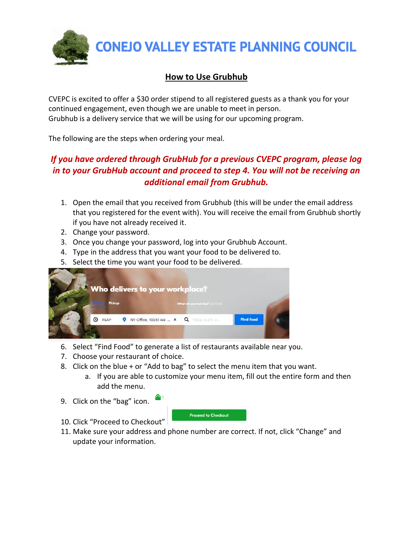

## **How to Use Grubhub**

CVEPC is excited to offer a \$30 order stipend to all registered guests as a thank you for your continued engagement, even though we are unable to meet in person. Grubhub is a delivery service that we will be using for our upcoming program.

The following are the steps when ordering your meal.

## *If you have ordered through GrubHub for a previous CVEPC program, please log in to your GrubHub account and proceed to step 4. You will not be receiving an additional email from Grubhub.*

- 1. Open the email that you received from Grubhub (this will be under the email address that you registered for the event with). You will receive the email from Grubhub shortly if you have not already received it.
- 2. Change your password.
- 3. Once you change your password, log into your Grubhub Account.
- 4. Type in the address that you want your food to be delivered to.
- 5. Select the time you want your food to be delivered.

| Pickup<br><b>Dailyaux</b> | Who delivers to your workplace?<br>What do you feel like? optional |                  |  |
|---------------------------|--------------------------------------------------------------------|------------------|--|
| ASAP<br>ര                 | NY Office, 10351 Wa $\times$ Q Pizza, sushi, o                     | <b>Find food</b> |  |
|                           |                                                                    |                  |  |

- 6. Select "Find Food" to generate a list of restaurants available near you.
- 7. Choose your restaurant of choice.
- 8. Click on the blue + or "Add to bag" to select the menu item that you want.
	- a. If you are able to customize your menu item, fill out the entire form and then add the menu.
- 9. Click on the "bag" icon.



- 10. Click "Proceed to Checkout"
- 11. Make sure your address and phone number are correct. If not, click "Change" and update your information.